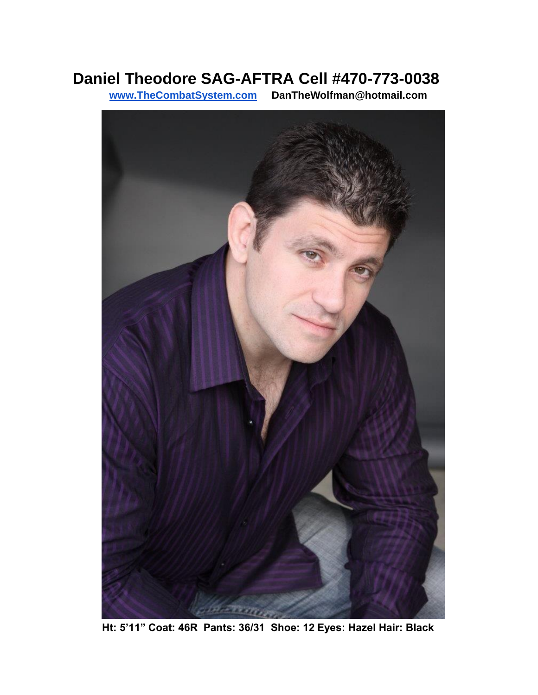## **Daniel Theodore SAG-AFTRA Cell #470-773-0038**

**[www.TheCombatSystem.com](http://www.thecombatsystem.com/) DanTheWolfman@hotmail.com** 



**Ht: 5'11" Coat: 46R Pants: 36/31 Shoe: 12 Eyes: Hazel Hair: Black**